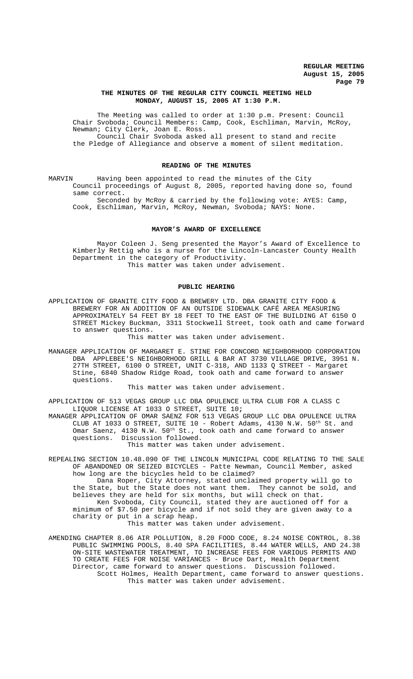# **THE MINUTES OF THE REGULAR CITY COUNCIL MEETING HELD MONDAY, AUGUST 15, 2005 AT 1:30 P.M.**

The Meeting was called to order at 1:30 p.m. Present: Council Chair Svoboda; Council Members: Camp, Cook, Eschliman, Marvin, McRoy, Newman; City Clerk, Joan E. Ross. Council Chair Svoboda asked all present to stand and recite

the Pledge of Allegiance and observe a moment of silent meditation.

#### **READING OF THE MINUTES**

MARVIN Having been appointed to read the minutes of the City Council proceedings of August 8, 2005, reported having done so, found same correct.

Seconded by McRoy & carried by the following vote: AYES: Camp, Cook, Eschliman, Marvin, McRoy, Newman, Svoboda; NAYS: None.

# **MAYOR'S AWARD OF EXCELLENCE**

Mayor Coleen J. Seng presented the Mayor's Award of Excellence to Kimberly Rettig who is a nurse for the Lincoln-Lancaster County Health Department in the category of Productivity. This matter was taken under advisement.

#### **PUBLIC HEARING**

APPLICATION OF GRANITE CITY FOOD & BREWERY LTD. DBA GRANITE CITY FOOD & BREWERY FOR AN ADDITION OF AN OUTSIDE SIDEWALK CAFÉ AREA MEASURING APPROXIMATELY 54 FEET BY 18 FEET TO THE EAST OF THE BUILDING AT 6150 O STREET Mickey Buckman, 3311 Stockwell Street, took oath and came forward to answer questions.

This matter was taken under advisement.

MANAGER APPLICATION OF MARGARET E. STINE FOR CONCORD NEIGHBORHOOD CORPORATION DBA APPLEBEE'S NEIGHBORHOOD GRILL & BAR AT 3730 VILLAGE DRIVE, 3951 N. 27TH STREET, 6100 O STREET, UNIT C-318, AND 1133 Q STREET - Margaret Stine, 6840 Shadow Ridge Road, took oath and came forward to answer questions.

This matter was taken under advisement.

APPLICATION OF 513 VEGAS GROUP LLC DBA OPULENCE ULTRA CLUB FOR A CLASS C LIQUOR LICENSE AT 1033 O STREET, SUITE 10**;**

MANAGER APPLICATION OF OMAR SAENZ FOR 513 VEGAS GROUP LLC DBA OPULENCE ULTRA CLUB AT 1033 O STREET, SUITE 10 - Robert Adams,  $4130$  N.W.  $50^{\text{th}}$  St. and Omar Saenz,  $4130$  N.W.  $50^{\text{th}}$  St., took oath and came forward to answer questions. Discussion followed. This matter was taken under advisement.

REPEALING SECTION 10.48.090 OF THE LINCOLN MUNICIPAL CODE RELATING TO THE SALE OF ABANDONED OR SEIZED BICYCLES - Patte Newman, Council Member, asked how long are the bicycles held to be claimed?

Dana Roper, City Attorney, stated unclaimed property will go to the State, but the State does not want them. They cannot be sold, and believes they are held for six months, but will check on that. Ken Svoboda, City Council, stated they are auctioned off for a

minimum of \$7.50 per bicycle and if not sold they are given away to a charity or put in a scrap heap. This matter was taken under advisement.

AMENDING CHAPTER 8.06 AIR POLLUTION, 8.20 FOOD CODE, 8.24 NOISE CONTROL, 8.38 PUBLIC SWIMMING POOLS, 8.40 SPA FACILITIES, 8.44 WATER WELLS, AND 24.38 ON-SITE WASTEWATER TREATMENT, TO INCREASE FEES FOR VARIOUS PERMITS AND TO CREATE FEES FOR NOISE VARIANCES - Bruce Dart, Health Department Director, came forward to answer questions. Discussion followed. Scott Holmes, Health Department, came forward to answer questions. This matter was taken under advisement.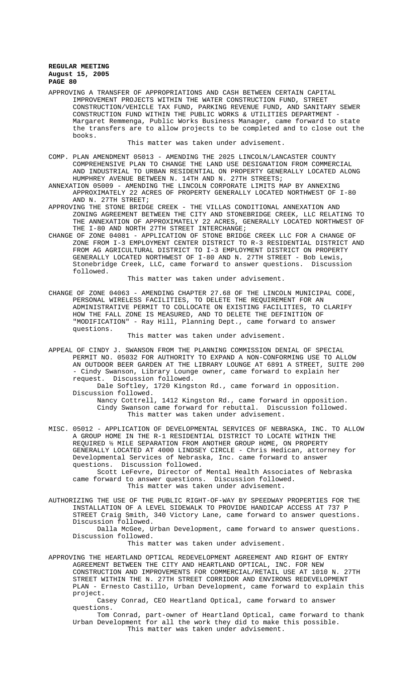APPROVING A TRANSFER OF APPROPRIATIONS AND CASH BETWEEN CERTAIN CAPITAL IMPROVEMENT PROJECTS WITHIN THE WATER CONSTRUCTION FUND, STREET CONSTRUCTION/VEHICLE TAX FUND, PARKING REVENUE FUND, AND SANITARY SEWER CONSTRUCTION FUND WITHIN THE PUBLIC WORKS & UTILITIES DEPARTMENT - Margaret Remmenga, Public Works Business Manager, came forward to state the transfers are to allow projects to be completed and to close out the books.

This matter was taken under advisement.

COMP. PLAN AMENDMENT 05013 - AMENDING THE 2025 LINCOLN/LANCASTER COUNTY COMPREHENSIVE PLAN TO CHANGE THE LAND USE DESIGNATION FROM COMMERCIAL AND INDUSTRIAL TO URBAN RESIDENTIAL ON PROPERTY GENERALLY LOCATED ALONG HUMPHREY AVENUE BETWEEN N. 14TH AND N. 27TH STREETS;

ANNEXATION 05009 - AMENDING THE LINCOLN CORPORATE LIMITS MAP BY ANNEXING APPROXIMATELY 22 ACRES OF PROPERTY GENERALLY LOCATED NORTHWEST OF I-80 AND N. 27TH STREET;

APPROVING THE STONE BRIDGE CREEK - THE VILLAS CONDITIONAL ANNEXATION AND ZONING AGREEMENT BETWEEN THE CITY AND STONEBRIDGE CREEK, LLC RELATING TO THE ANNEXATION OF APPROXIMATELY 22 ACRES, GENERALLY LOCATED NORTHWEST OF THE I-80 AND NORTH 27TH STREET INTERCHANGE;

CHANGE OF ZONE 04081 - APPLICATION OF STONE BRIDGE CREEK LLC FOR A CHANGE OF ZONE FROM I-3 EMPLOYMENT CENTER DISTRICT TO R-3 RESIDENTIAL DISTRICT AND FROM AG AGRICULTURAL DISTRICT TO I-3 EMPLOYMENT DISTRICT ON PROPERTY GENERALLY LOCATED NORTHWEST OF I-80 AND N. 27TH STREET - Bob Lewis, Stonebridge Creek, LLC, came forward to answer questions. Discussion followed.

This matter was taken under advisement.

CHANGE OF ZONE 04063 - AMENDING CHAPTER 27.68 OF THE LINCOLN MUNICIPAL CODE, PERSONAL WIRELESS FACILITIES, TO DELETE THE REQUIREMENT FOR AN ADMINISTRATIVE PERMIT TO COLLOCATE ON EXISTING FACILITIES, TO CLARIFY HOW THE FALL ZONE IS MEASURED, AND TO DELETE THE DEFINITION OF "MODIFICATION" - Ray Hill, Planning Dept., came forward to answer questions.

This matter was taken under advisement.

APPEAL OF CINDY J. SWANSON FROM THE PLANNING COMMISSION DENIAL OF SPECIAL PERMIT NO. 05032 FOR AUTHORITY TO EXPAND A NON-CONFORMING USE TO ALLOW AN OUTDOOR BEER GARDEN AT THE LIBRARY LOUNGE AT 6891 A STREET, SUITE 200 - Cindy Swanson, Library Lounge owner, came forward to explain her request. Discussion followed.

Dale Softley, 1720 Kingston Rd., came forward in opposition. Discussion followed.

Nancy Cottrell, 1412 Kingston Rd., came forward in opposition. Cindy Swanson came forward for rebuttal. Discussion followed. This matter was taken under advisement.

MISC. 05012 - APPLICATION OF DEVELOPMENTAL SERVICES OF NEBRASKA, INC. TO ALLOW A GROUP HOME IN THE R-1 RESIDENTIAL DISTRICT TO LOCATE WITHIN THE REQUIRED ½ MILE SEPARATION FROM ANOTHER GROUP HOME, ON PROPERTY GENERALLY LOCATED AT 4000 LINDSEY CIRCLE - Chris Hedican, attorney for Developmental Services of Nebraska, Inc. came forward to answer questions. Discussion followed.

Scott LeFevre, Director of Mental Health Associates of Nebraska came forward to answer questions. Discussion followed. This matter was taken under advisement.

AUTHORIZING THE USE OF THE PUBLIC RIGHT-OF-WAY BY SPEEDWAY PROPERTIES FOR THE INSTALLATION OF A LEVEL SIDEWALK TO PROVIDE HANDICAP ACCESS AT 737 P STREET Craig Smith, 340 Victory Lane, came forward to answer questions. Discussion followed.

Dalla McGee, Urban Development, came forward to answer questions. Discussion followed.

This matter was taken under advisement.

APPROVING THE HEARTLAND OPTICAL REDEVELOPMENT AGREEMENT AND RIGHT OF ENTRY AGREEMENT BETWEEN THE CITY AND HEARTLAND OPTICAL, INC. FOR NEW CONSTRUCTION AND IMPROVEMENTS FOR COMMERCIAL/RETAIL USE AT 1010 N. 27TH STREET WITHIN THE N. 27TH STREET CORRIDOR AND ENVIRONS REDEVELOPMENT PLAN - Ernesto Castillo, Urban Development, came forward to explain this project.

Casey Conrad, CEO Heartland Optical, came forward to answer questions.

Tom Conrad, part-owner of Heartland Optical, came forward to thank Urban Development for all the work they did to make this possible. This matter was taken under advisement.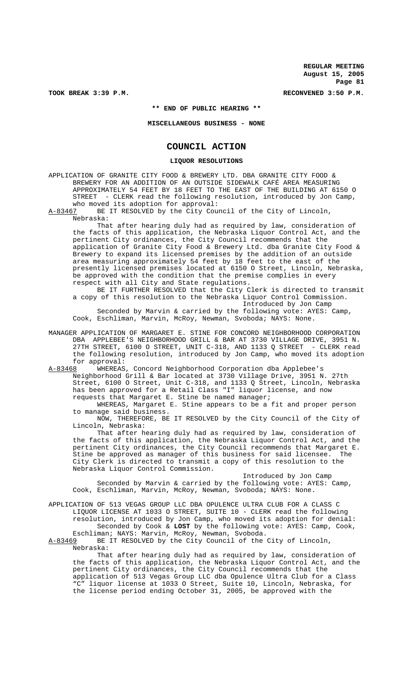TOOK BREAK 3:39 P.M. **RECONVENED 3:50 P.M.** RECONVENED 3:50 P.M.

**\*\* END OF PUBLIC HEARING \*\***

**MISCELLANEOUS BUSINESS - NONE**

# **COUNCIL ACTION**

# **LIQUOR RESOLUTIONS**

APPLICATION OF GRANITE CITY FOOD & BREWERY LTD. DBA GRANITE CITY FOOD & BREWERY FOR AN ADDITION OF AN OUTSIDE SIDEWALK CAFÉ AREA MEASURING APPROXIMATELY 54 FEET BY 18 FEET TO THE EAST OF THE BUILDING AT 6150 O STREET - CLERK read the following resolution, introduced by Jon Camp, who moved its adoption for approval:

A-83467 BE IT RESOLVED by the City Council of the City of Lincoln, Nebraska:

That after hearing duly had as required by law, consideration of the facts of this application, the Nebraska Liquor Control Act, and the pertinent City ordinances, the City Council recommends that the application of Granite City Food & Brewery Ltd. dba Granite City Food & Brewery to expand its licensed premises by the addition of an outside area measuring approximately 54 feet by 18 feet to the east of the presently licensed premises located at 6150 O Street, Lincoln, Nebraska, be approved with the condition that the premise complies in every respect with all City and State regulations.

BE IT FURTHER RESOLVED that the City Clerk is directed to transmit a copy of this resolution to the Nebraska Liquor Control Commission. Introduced by Jon Camp

Seconded by Marvin & carried by the following vote: AYES: Camp, Cook, Eschliman, Marvin, McRoy, Newman, Svoboda; NAYS: None.

MANAGER APPLICATION OF MARGARET E. STINE FOR CONCORD NEIGHBORHOOD CORPORATION DBA APPLEBEE'S NEIGHBORHOOD GRILL & BAR AT 3730 VILLAGE DRIVE, 3951 N. 27TH STREET, 6100 O STREET, UNIT C-318, AND 1133 Q STREET - CLERK read the following resolution, introduced by Jon Camp, who moved its adoption for approval:<br>A-83468 WHEREAS

WHEREAS, Concord Neighborhood Corporation dba Applebee's Neighborhood Grill & Bar located at 3730 Village Drive, 3951 N. 27th Street, 6100 O Street, Unit C-318, and 1133 Q Street, Lincoln, Nebraska has been approved for a Retail Class "I" liquor license, and now requests that Margaret E. Stine be named manager;

WHEREAS, Margaret E. Stine appears to be a fit and proper person to manage said business.

NOW, THEREFORE, BE IT RESOLVED by the City Council of the City of Lincoln, Nebraska:

That after hearing duly had as required by law, consideration of the facts of this application, the Nebraska Liquor Control Act, and the pertinent City ordinances, the City Council recommends that Margaret E.<br>Stine be approved as manager of this business for said licensee. The Stine be approved as manager of this business for said licensee. City Clerk is directed to transmit a copy of this resolution to the Nebraska Liquor Control Commission.

Introduced by Jon Camp Seconded by Marvin & carried by the following vote: AYES: Camp, Cook, Eschliman, Marvin, McRoy, Newman, Svoboda; NAYS: None.

APPLICATION OF 513 VEGAS GROUP LLC DBA OPULENCE ULTRA CLUB FOR A CLASS C LIQUOR LICENSE AT 1033 O STREET, SUITE 10 - CLERK read the following resolution, introduced by Jon Camp, who moved its adoption for denial: Seconded by Cook & **LOST** by the following vote: AYES: Camp, Cook,

Eschliman; NAYS: Marvin, McRoy, Newman, Svoboda.<br>A-83469 BE IT RESOLVED by the City Council of the BE IT RESOLVED by the City Council of the City of Lincoln, Nebraska:

That after hearing duly had as required by law, consideration of the facts of this application, the Nebraska Liquor Control Act, and the pertinent City ordinances, the City Council recommends that the application of 513 Vegas Group LLC dba Opulence Ultra Club for a Class "C" liquor license at 1033 O Street, Suite 10, Lincoln, Nebraska, for the license period ending October 31, 2005, be approved with the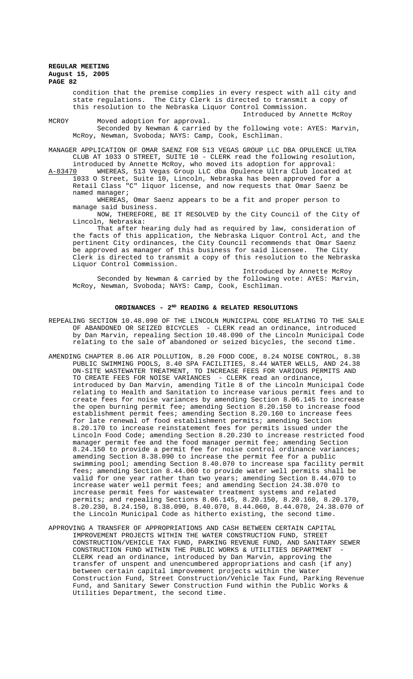condition that the premise complies in every respect with all city and state regulations. The City Clerk is directed to transmit a copy of this resolution to the Nebraska Liquor Control Commission.

Introduced by Annette McRoy MCROY Moved adoption for approval. Seconded by Newman & carried by the following vote: AYES: Marvin, McRoy, Newman, Svoboda; NAYS: Camp, Cook, Eschliman.

MANAGER APPLICATION OF OMAR SAENZ FOR 513 VEGAS GROUP LLC DBA OPULENCE ULTRA CLUB AT 1033 O STREET, SUITE 10 - CLERK read the following resolution, introduced by Annette McRoy, who moved its adoption for approval:

A-83470 WHEREAS, 513 Vegas Group LLC dba Opulence Ultra Club located at 1033 O Street, Suite 10, Lincoln, Nebraska has been approved for a Retail Class "C" liquor license, and now requests that Omar Saenz be named manager;

WHEREAS, Omar Saenz appears to be a fit and proper person to manage said business.

NOW, THEREFORE, BE IT RESOLVED by the City Council of the City of Lincoln, Nebraska:

That after hearing duly had as required by law, consideration of the facts of this application, the Nebraska Liquor Control Act, and the pertinent City ordinances, the City Council recommends that Omar Saenz be approved as manager of this business for said licensee. The City Clerk is directed to transmit a copy of this resolution to the Nebraska Liquor Control Commission.

Introduced by Annette McRoy Seconded by Newman & carried by the following vote: AYES: Marvin, McRoy, Newman, Svoboda; NAYS: Camp, Cook, Eschliman.

#### ORDINANCES - 2<sup>ND</sup> READING & RELATED RESOLUTIONS

- REPEALING SECTION 10.48.090 OF THE LINCOLN MUNICIPAL CODE RELATING TO THE SALE OF ABANDONED OR SEIZED BICYCLES - CLERK read an ordinance, introduced by Dan Marvin, repealing Section 10.48.090 of the Lincoln Municipal Code relating to the sale of abandoned or seized bicycles, the second time.
- AMENDING CHAPTER 8.06 AIR POLLUTION, 8.20 FOOD CODE, 8.24 NOISE CONTROL, 8.38 PUBLIC SWIMMING POOLS, 8.40 SPA FACILITIES, 8.44 WATER WELLS, AND 24.38 ON-SITE WASTEWATER TREATMENT, TO INCREASE FEES FOR VARIOUS PERMITS AND TO CREATE FEES FOR NOISE VARIANCES - CLERK read an ordinance, introduced by Dan Marvin, amending Title 8 of the Lincoln Municipal Code relating to Health and Sanitation to increase various permit fees and to create fees for noise variances by amending Section 8.06.145 to increase the open burning permit fee; amending Section 8.20.150 to increase food establishment permit fees; amending Section 8.20.160 to increase fees for late renewal of food establishment permits; amending Section 8.20.170 to increase reinstatement fees for permits issued under the Lincoln Food Code; amending Section 8.20.230 to increase restricted food manager permit fee and the food manager permit fee; amending Section 8.24.150 to provide a permit fee for noise control ordinance variances; amending Section 8.38.090 to increase the permit fee for a public swimming pool; amending Section 8.40.070 to increase spa facility permit fees; amending Section 8.44.060 to provide water well permits shall be valid for one year rather than two years; amending Section 8.44.070 to increase water well permit fees; and amending Section 24.38.070 to increase permit fees for wastewater treatment systems and related permits; and repealing Sections 8.06.145, 8.20.150, 8.20.160, 8.20.170, 8.20.230, 8.24.150, 8.38.090, 8.40.070, 8.44.060, 8.44.070, 24.38.070 of the Lincoln Municipal Code as hitherto existing, the second time.
- APPROVING A TRANSFER OF APPROPRIATIONS AND CASH BETWEEN CERTAIN CAPITAL IMPROVEMENT PROJECTS WITHIN THE WATER CONSTRUCTION FUND, STREET CONSTRUCTION/VEHICLE TAX FUND, PARKING REVENUE FUND, AND SANITARY SEWER CONSTRUCTION FUND WITHIN THE PUBLIC WORKS & UTILITIES DEPARTMENT CLERK read an ordinance, introduced by Dan Marvin, approving the transfer of unspent and unencumbered appropriations and cash (if any) between certain capital improvement projects within the Water Construction Fund, Street Construction/Vehicle Tax Fund, Parking Revenue Fund, and Sanitary Sewer Construction Fund within the Public Works & Utilities Department, the second time.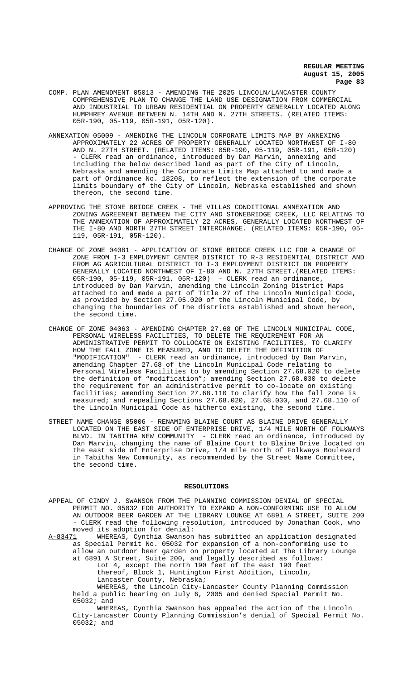- COMP. PLAN AMENDMENT 05013 AMENDING THE 2025 LINCOLN/LANCASTER COUNTY COMPREHENSIVE PLAN TO CHANGE THE LAND USE DESIGNATION FROM COMMERCIAL AND INDUSTRIAL TO URBAN RESIDENTIAL ON PROPERTY GENERALLY LOCATED ALONG HUMPHREY AVENUE BETWEEN N. 14TH AND N. 27TH STREETS. (RELATED ITEMS: 05R-190, 05-119, 05R-191, 05R-120).
- ANNEXATION 05009 AMENDING THE LINCOLN CORPORATE LIMITS MAP BY ANNEXING APPROXIMATELY 22 ACRES OF PROPERTY GENERALLY LOCATED NORTHWEST OF I-80 AND N. 27TH STREET. (RELATED ITEMS: 05R-190, 05-119, 05R-191, 05R-120) - CLERK read an ordinance, introduced by Dan Marvin, annexing and including the below described land as part of the City of Lincoln, Nebraska and amending the Corporate Limits Map attached to and made a part of Ordinance No. 18208, to reflect the extension of the corporate limits boundary of the City of Lincoln, Nebraska established and shown thereon, the second time.
- APPROVING THE STONE BRIDGE CREEK THE VILLAS CONDITIONAL ANNEXATION AND ZONING AGREEMENT BETWEEN THE CITY AND STONEBRIDGE CREEK, LLC RELATING TO THE ANNEXATION OF APPROXIMATELY 22 ACRES, GENERALLY LOCATED NORTHWEST OF THE I-80 AND NORTH 27TH STREET INTERCHANGE. (RELATED ITEMS: 05R-190, 05-119, 05R-191, 05R-120).
- CHANGE OF ZONE 04081 APPLICATION OF STONE BRIDGE CREEK LLC FOR A CHANGE OF ZONE FROM I-3 EMPLOYMENT CENTER DISTRICT TO R-3 RESIDENTIAL DISTRICT AND FROM AG AGRICULTURAL DISTRICT TO I-3 EMPLOYMENT DISTRICT ON PROPERTY GENERALLY LOCATED NORTHWEST OF I-80 AND N. 27TH STREET.(RELATED ITEMS: 05R-190, 05-119, 05R-191, 05R-120) - CLERK read an ordinance, introduced by Dan Marvin, amending the Lincoln Zoning District Maps attached to and made a part of Title 27 of the Lincoln Municipal Code, as provided by Section 27.05.020 of the Lincoln Municipal Code, by changing the boundaries of the districts established and shown hereon, the second time.
- CHANGE OF ZONE 04063 AMENDING CHAPTER 27.68 OF THE LINCOLN MUNICIPAL CODE, PERSONAL WIRELESS FACILITIES, TO DELETE THE REQUIREMENT FOR AN ADMINISTRATIVE PERMIT TO COLLOCATE ON EXISTING FACILITIES, TO CLARIFY HOW THE FALL ZONE IS MEASURED, AND TO DELETE THE DEFINITION OF "MODIFICATION" - CLERK read an ordinance, introduced by Dan Marvin, amending Chapter 27.68 of the Lincoln Municipal Code relating to Personal Wireless Facilities to by amending Section 27.68.020 to delete the definition of "modification"; amending Section 27.68.030 to delete the requirement for an administrative permit to co-locate on existing facilities; amending Section 27.68.110 to clarify how the fall zone is measured; and repealing Sections 27.68.020, 27.68.030, and 27.68.110 of the Lincoln Municipal Code as hitherto existing, the second time.
- STREET NAME CHANGE 05006 RENAMING BLAINE COURT AS BLAINE DRIVE GENERALLY LOCATED ON THE EAST SIDE OF ENTERPRISE DRIVE, 1/4 MILE NORTH OF FOLKWAYS BLVD. IN TABITHA NEW COMMUNITY - CLERK read an ordinance, introduced by Dan Marvin, changing the name of Blaine Court to Blaine Drive located on the east side of Enterprise Drive, 1/4 mile north of Folkways Boulevard in Tabitha New Community, as recommended by the Street Name Committee, the second time.

### **RESOLUTIONS**

APPEAL OF CINDY J. SWANSON FROM THE PLANNING COMMISSION DENIAL OF SPECIAL PERMIT NO. 05032 FOR AUTHORITY TO EXPAND A NON-CONFORMING USE TO ALLOW AN OUTDOOR BEER GARDEN AT THE LIBRARY LOUNGE AT 6891 A STREET, SUITE 200 - CLERK read the following resolution, introduced by Jonathan Cook, who moved its adoption for denial:

A-83471 WHEREAS, Cynthia Swanson has submitted an application designated as Special Permit No. 05032 for expansion of a non-conforming use to allow an outdoor beer garden on property located at The Library Lounge at 6891 A Street, Suite 200, and legally described as follows: Lot 4, except the north 190 feet of the east 190 feet thereof, Block 1, Huntington First Addition, Lincoln, Lancaster County, Nebraska; WHEREAS, the Lincoln City-Lancaster County Planning Commission

held a public hearing on July 6, 2005 and denied Special Permit No. 05032; and

WHEREAS, Cynthia Swanson has appealed the action of the Lincoln City-Lancaster County Planning Commission's denial of Special Permit No. 05032; and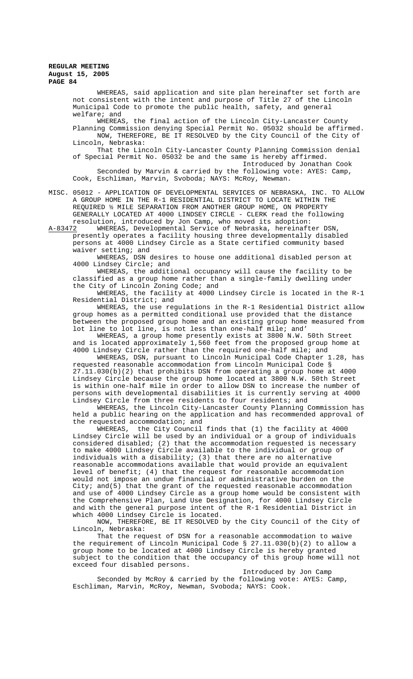WHEREAS, said application and site plan hereinafter set forth are not consistent with the intent and purpose of Title 27 of the Lincoln Municipal Code to promote the public health, safety, and general welfare; and

WHEREAS, the final action of the Lincoln City-Lancaster County Planning Commission denying Special Permit No. 05032 should be affirmed. NOW, THEREFORE, BE IT RESOLVED by the City Council of the City of Lincoln, Nebraska:

That the Lincoln City-Lancaster County Planning Commission denial of Special Permit No. 05032 be and the same is hereby affirmed.

Introduced by Jonathan Cook

Seconded by Marvin & carried by the following vote: AYES: Camp, Cook, Eschliman, Marvin, Svoboda; NAYS: McRoy, Newman.

MISC. 05012 - APPLICATION OF DEVELOPMENTAL SERVICES OF NEBRASKA, INC. TO ALLOW A GROUP HOME IN THE R-1 RESIDENTIAL DISTRICT TO LOCATE WITHIN THE REQUIRED ½ MILE SEPARATION FROM ANOTHER GROUP HOME, ON PROPERTY GENERALLY LOCATED AT 4000 LINDSEY CIRCLE - CLERK read the following resolution, introduced by Jon Camp, who moved its adoption:

A-83472 WHEREAS, Developmental Service of Nebraska, hereinafter DSN, presently operates a facility housing three developmentally disabled persons at 4000 Lindsey Circle as a State certified community based waiver setting; and

WHEREAS, DSN desires to house one additional disabled person at 4000 Lindsey Circle; and

WHEREAS, the additional occupancy will cause the facility to be classified as a group home rather than a single-family dwelling under the City of Lincoln Zoning Code; and

WHEREAS, the facility at 4000 Lindsey Circle is located in the R-1 Residential District; and

WHEREAS, the use regulations in the R-1 Residential District allow group homes as a permitted conditional use provided that the distance between the proposed group home and an existing group home measured from lot line to lot line, is not less than one-half mile; and'

WHEREAS, a group home presently exists at 3800 N.W. 50th Street and is located approximately 1,560 feet from the proposed group home at 4000 Lindsey Circle rather than the required one-half mile; and

WHEREAS, DSN, pursuant to Lincoln Municipal Code Chapter 1.28, has requested reasonable accommodation from Lincoln Municipal Code § 27.11.030(b)(2) that prohibits DSN from operating a group home at 4000 Lindsey Circle because the group home located at 3800 N.W. 50th Street is within one-half mile in order to allow DSN to increase the number of persons with developmental disabilities it is currently serving at 4000 Lindsey Circle from three residents to four residents; and

WHEREAS, the Lincoln City-Lancaster County Planning Commission has held a public hearing on the application and has recommended approval of the requested accommodation; and

WHEREAS, the City Council finds that (1) the facility at 4000 Lindsey Circle will be used by an individual or a group of individuals considered disabled; (2) that the accommodation requested is necessary to make 4000 Lindsey Circle available to the individual or group of individuals with a disability; (3) that there are no alternative reasonable accommodations available that would provide an equivalent level of benefit; (4) that the request for reasonable accommodation would not impose an undue financial or administrative burden on the City; and(5) that the grant of the requested reasonable accommodation and use of 4000 Lindsey Circle as a group home would be consistent with the Comprehensive Plan, Land Use Designation, for 4000 Lindsey Circle and with the general purpose intent of the R-1 Residential District in which 4000 Lindsey Circle is located.

NOW, THEREFORE, BE IT RESOLVED by the City Council of the City of Lincoln, Nebraska:

That the request of DSN for a reasonable accommodation to waive the requirement of Lincoln Municipal Code  $\S$  27.11.030(b)(2) to allow a group home to be located at 4000 Lindsey Circle is hereby granted subject to the condition that the occupancy of this group home will not exceed four disabled persons.

Introduced by Jon Camp Seconded by McRoy & carried by the following vote: AYES: Camp, Eschliman, Marvin, McRoy, Newman, Svoboda; NAYS: Cook.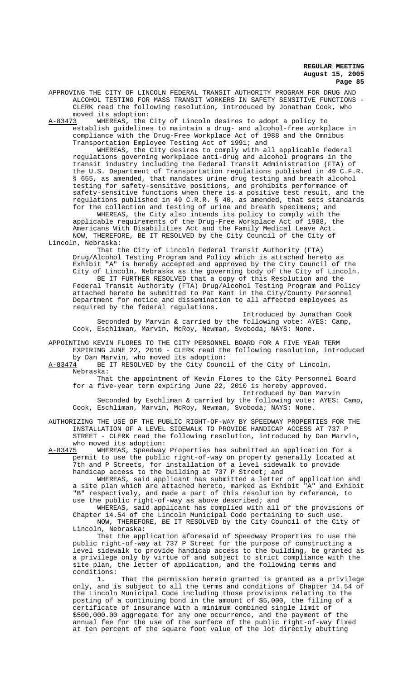APPROVING THE CITY OF LINCOLN FEDERAL TRANSIT AUTHORITY PROGRAM FOR DRUG AND ALCOHOL TESTING FOR MASS TRANSIT WORKERS IN SAFETY SENSITIVE FUNCTIONS - CLERK read the following resolution, introduced by Jonathan Cook, who moved its adoption:

A-83473 WHEREAS, the City of Lincoln desires to adopt a policy to establish guidelines to maintain a drug- and alcohol-free workplace in compliance with the Drug-Free Workplace Act of 1988 and the Omnibus Transportation Employee Testing Act of 1991; and

WHEREAS, the City desires to comply with all applicable Federal regulations governing workplace anti-drug and alcohol programs in the transit industry including the Federal Transit Administration (FTA) of the U.S. Department of Transportation regulations published in 49 C.F.R. § 655, as amended, that mandates urine drug testing and breath alcohol testing for safety-sensitive positions, and prohibits performance of safety-sensitive functions when there is a positive test result, and the regulations published in 49 C.R.R. § 40, as amended, that sets standards for the collection and testing of urine and breath specimens; and

WHEREAS, the City also intends its policy to comply with the applicable requirements of the Drug-Free Workplace Act of 1988, the Americans With Disabilities Act and the Family Medical Leave Act. NOW, THEREFORE, BE IT RESOLVED by the City Council of the City of Lincoln, Nebraska:

That the City of Lincoln Federal Transit Authority (FTA) Drug/Alcohol Testing Program and Policy which is attached hereto as Exhibit "A" is hereby accepted and approved by the City Council of the City of Lincoln, Nebraska as the governing body of the City of Lincoln. BE IT FURTHER RESOLVED that a copy of this Resolution and the Federal Transit Authority (FTA) Drug/Alcohol Testing Program and Policy attached hereto be submitted to Pat Kant in the City/County Personnel Department for notice and dissemination to all affected employees as required by the federal regulations.

Introduced by Jonathan Cook Seconded by Marvin & carried by the following vote: AYES: Camp, Cook, Eschliman, Marvin, McRoy, Newman, Svoboda; NAYS: None.

APPOINTING KEVIN FLORES TO THE CITY PERSONNEL BOARD FOR A FIVE YEAR TERM EXPIRING JUNE 22, 2010 - CLERK read the following resolution, introduced by Dan Marvin, who moved its adoption:<br>A-83474 BE IT RESOLVED by the City Counc

BE IT RESOLVED by the City Council of the City of Lincoln, Nebraska:

That the appointment of Kevin Flores to the City Personnel Board for a five-year term expiring June 22, 2010 is hereby approved. Introduced by Dan Marvin

Seconded by Eschliman & carried by the following vote: AYES: Camp, Cook, Eschliman, Marvin, McRoy, Newman, Svoboda; NAYS: None.

AUTHORIZING THE USE OF THE PUBLIC RIGHT-OF-WAY BY SPEEDWAY PROPERTIES FOR THE INSTALLATION OF A LEVEL SIDEWALK TO PROVIDE HANDICAP ACCESS AT 737 P STREET - CLERK read the following resolution, introduced by Dan Marvin,

who moved its adoption:<br>A-83475 WHEREAS, Speedway WHEREAS, Speedway Properties has submitted an application for a permit to use the public right-of-way on property generally located at 7th and P Streets, for installation of a level sidewalk to provide handicap access to the building at 737 P Street; and

WHEREAS, said applicant has submitted a letter of application and a site plan which are attached hereto, marked as Exhibit "A" and Exhibit "B" respectively, and made a part of this resolution by reference, to use the public right-of-way as above described; and

WHEREAS, said applicant has complied with all of the provisions of Chapter 14.54 of the Lincoln Municipal Code pertaining to such use. NOW, THEREFORE, BE IT RESOLVED by the City Council of the City of Lincoln, Nebraska:

That the application aforesaid of Speedway Properties to use the public right-of-way at 737 P Street for the purpose of constructing a level sidewalk to provide handicap access to the building, be granted as a privilege only by virtue of and subject to strict compliance with the site plan, the letter of application, and the following terms and

conditions: That the permission herein granted is granted as a privilege only, and is subject to all the terms and conditions of Chapter 14.54 of the Lincoln Municipal Code including those provisions relating to the posting of a continuing bond in the amount of \$5,000, the filing of a certificate of insurance with a minimum combined single limit of \$500,000.00 aggregate for any one occurrence, and the payment of the annual fee for the use of the surface of the public right-of-way fixed at ten percent of the square foot value of the lot directly abutting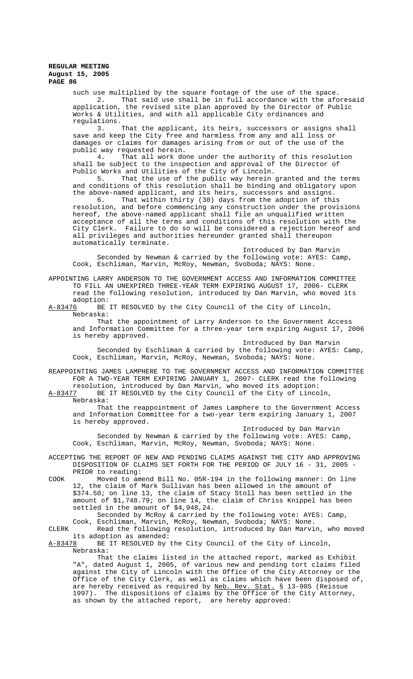such use multiplied by the square footage of the use of the space. 2. That said use shall be in full accordance with the aforesaid application, the revised site plan approved by the Director of Public Works & Utilities, and with all applicable City ordinances and regulations.<br>3.

That the applicant, its heirs, successors or assigns shall save and keep the City free and harmless from any and all loss or damages or claims for damages arising from or out of the use of the public way requested herein.<br>4. That all work do:

That all work done under the authority of this resolution shall be subject to the inspection and approval of the Director of Public Works and Utilities of the City of Lincoln.<br>5. That the use of the public way herein

That the use of the public way herein granted and the terms and conditions of this resolution shall be binding and obligatory upon the above-named applicant, and its heirs, successors and assigns.

6. That within thirty (30) days from the adoption of this resolution, and before commencing any construction under the provisions hereof, the above-named applicant shall file an unqualified written acceptance of all the terms and conditions of this resolution with the City Clerk. Failure to do so will be considered a rejection hereof and all privileges and authorities hereunder granted shall thereupon automatically terminate.

Introduced by Dan Marvin Seconded by Newman & carried by the following vote: AYES: Camp, Cook, Eschliman, Marvin, McRoy, Newman, Svoboda; NAYS: None.

APPOINTING LARRY ANDERSON TO THE GOVERNMENT ACCESS AND INFORMATION COMMITTEE TO FILL AN UNEXPIRED THREE-YEAR TERM EXPIRING AUGUST 17, 2006- CLERK read the following resolution, introduced by Dan Marvin, who moved its adoption:<br>A-83476 BE

BE IT RESOLVED by the City Council of the City of Lincoln, Nebraska:

That the appointment of Larry Anderson to the Government Access and Information Committee for a three-year term expiring August 17, 2006 is hereby approved.

Introduced by Dan Marvin Seconded by Eschliman & carried by the following vote: AYES: Camp, Cook, Eschliman, Marvin, McRoy, Newman, Svoboda; NAYS: None.

REAPPOINTING JAMES LAMPHERE TO THE GOVERNMENT ACCESS AND INFORMATION COMMITTEE FOR A TWO-YEAR TERM EXPIRING JANUARY 1, 2007- CLERK read the following resolution, introduced by Dan Marvin, who moved its adoption:

A-83477 BE IT RESOLVED by the City Council of the City of Lincoln, Nebraska:

That the reappointment of James Lamphere to the Government Access and Information Committee for a two-year term expiring January 1, 2007 is hereby approved.

Introduced by Dan Marvin Seconded by Newman & carried by the following vote: AYES: Camp, Cook, Eschliman, Marvin, McRoy, Newman, Svoboda; NAYS: None.

ACCEPTING THE REPORT OF NEW AND PENDING CLAIMS AGAINST THE CITY AND APPROVING DISPOSITION OF CLAIMS SET FORTH FOR THE PERIOD OF JULY 16 - 31, 2005 - PRIOR to reading:

COOK Moved to amend Bill No. 05R-194 in the following manner: On line 12, the claim of Mark Sullivan has been allowed in the amount of \$374.50; on line 13, the claim of Stacy Stoll has been settled in the amount of \$1,748.79; on line 14, the claim of Chriss Knippel has been settled in the amount of \$4,948,24.

Seconded by McRoy & carried by the following vote: AYES: Camp, Cook, Eschliman, Marvin, McRoy, Newman, Svoboda; NAYS: None.

CLERK Read the following resolution, introduced by Dan Marvin, who moved its adoption as amended:<br>A-83478 BE IT RESOLVED by

BE IT RESOLVED by the City Council of the City of Lincoln, Nebraska:

That the claims listed in the attached report, marked as Exhibit "A", dated August 1, 2005, of various new and pending tort claims filed against the City of Lincoln with the Office of the City Attorney or the Office of the City Clerk, as well as claims which have been disposed of, are hereby received as required by <u>Neb. Rev. Stat.</u> § 13-905 (Reissue 1997). The dispositions of claims by the Office of the City Attorney, as shown by the attached report, are hereby approved: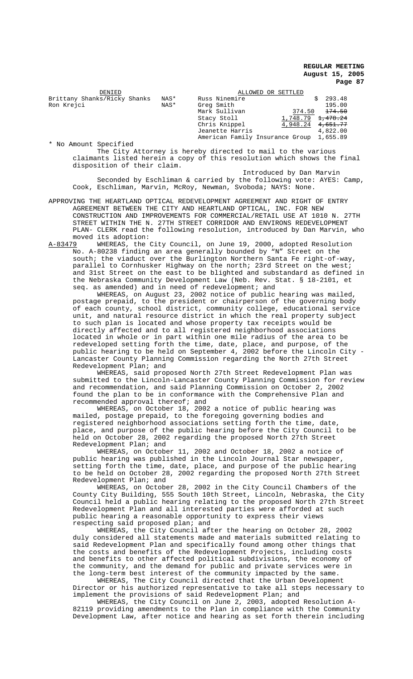| DENIED                       |      | ALLOWED OR SETTLED                       |          |                     |
|------------------------------|------|------------------------------------------|----------|---------------------|
| Brittany Shanks/Ricky Shanks | NAS* | Russ Ninemire                            |          | 293.48              |
| Ron Krejci                   | NAS* | Greg Smith<br>Mark Sullivan              | 374.50   | 195.00<br>174.50    |
|                              |      | Stacy Stoll                              | 1,748.79 | <del>1,478.24</del> |
|                              |      | Chris Knippel                            | 4,948.24 | <del>4,651.77</del> |
|                              |      | Jeanette Harris                          |          | 4,822.00            |
|                              |      | American Family Insurance Group 1,655.89 |          |                     |

\* No Amount Specified The City Attorney is hereby directed to mail to the various claimants listed herein a copy of this resolution which shows the final disposition of their claim.

Introduced by Dan Marvin Seconded by Eschliman & carried by the following vote: AYES: Camp, Cook, Eschliman, Marvin, McRoy, Newman, Svoboda; NAYS: None.

APPROVING THE HEARTLAND OPTICAL REDEVELOPMENT AGREEMENT AND RIGHT OF ENTRY AGREEMENT BETWEEN THE CITY AND HEARTLAND OPTICAL, INC. FOR NEW CONSTRUCTION AND IMPROVEMENTS FOR COMMERCIAL/RETAIL USE AT 1010 N. 27TH STREET WITHIN THE N. 27TH STREET CORRIDOR AND ENVIRONS REDEVELOPMENT PLAN- CLERK read the following resolution, introduced by Dan Marvin, who moved its adoption:<br>A-83479 WHEREAS, the

WHEREAS, the City Council, on June 19, 2000, adopted Resolution No. A-80238 finding an area generally bounded by "N" Street on the south; the viaduct over the Burlington Northern Santa Fe right-of-way, parallel to Cornhusker Highway on the north; 23rd Street on the west; and 31st Street on the east to be blighted and substandard as defined in the Nebraska Community Development Law (Neb. Rev. Stat. § 18-2101, et seq. as amended) and in need of redevelopment; and

WHEREAS, on August 23, 2002 notice of public hearing was mailed, postage prepaid, to the president or chairperson of the governing body of each county, school district, community college, educational service unit, and natural resource district in which the real property subject to such plan is located and whose property tax receipts would be directly affected and to all registered neighborhood associations located in whole or in part within one mile radius of the area to be redeveloped setting forth the time, date, place, and purpose, of the public hearing to be held on September 4, 2002 before the Lincoln City - Lancaster County Planning Commission regarding the North 27th Street Redevelopment Plan; and

WHEREAS, said proposed North 27th Street Redevelopment Plan was submitted to the Lincoln-Lancaster County Planning Commission for review and recommendation, and said Planning Commission on October 2, 2002 found the plan to be in conformance with the Comprehensive Plan and recommended approval thereof; and

WHEREAS, on October 18, 2002 a notice of public hearing was mailed, postage prepaid, to the foregoing governing bodies and registered neighborhood associations setting forth the time, date, place, and purpose of the public hearing before the City Council to be held on October 28, 2002 regarding the proposed North 27th Street Redevelopment Plan; and

WHEREAS, on October 11, 2002 and October 18, 2002 a notice of public hearing was published in the Lincoln Journal Star newspaper, setting forth the time, date, place, and purpose of the public hearing to be held on October 28, 2002 regarding the proposed North 27th Street Redevelopment Plan; and

WHEREAS, on October 28, 2002 in the City Council Chambers of the County City Building, 555 South 10th Street, Lincoln, Nebraska, the City Council held a public hearing relating to the proposed North 27th Street Redevelopment Plan and all interested parties were afforded at such public hearing a reasonable opportunity to express their views respecting said proposed plan; and

WHEREAS, the City Council after the hearing on October 28, 2002 duly considered all statements made and materials submitted relating to said Redevelopment Plan and specifically found among other things that the costs and benefits of the Redevelopment Projects, including costs and benefits to other affected political subdivisions, the economy of the community, and the demand for public and private services were in the long-term best interest of the community impacted by the same.

WHEREAS, The City Council directed that the Urban Development Director or his authorized representative to take all steps necessary to implement the provisions of said Redevelopment Plan; and

WHEREAS, the City Council on June 2, 2003, adopted Resolution A-82119 providing amendments to the Plan in compliance with the Community Development Law, after notice and hearing as set forth therein including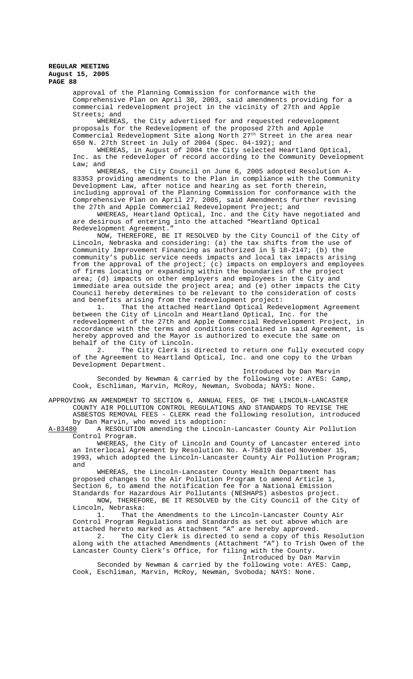approval of the Planning Commission for conformance with the Comprehensive Plan on April 30, 2003, said amendments providing for a commercial redevelopment project in the vicinity of 27th and Apple Streets; and

WHEREAS, the City advertised for and requested redevelopment proposals for the Redevelopment of the proposed 27th and Apple Commercial Redevelopment Site along North  $27<sup>th</sup>$  Street in the area near 650 N. 27th Street in July of 2004 (Spec. 04-192); and

WHEREAS, in August of 2004 the City selected Heartland Optical, Inc. as the redeveloper of record according to the Community Development Law; and

WHEREAS, the City Council on June 6, 2005 adopted Resolution A-83353 providing amendments to the Plan in compliance with the Community Development Law, after notice and hearing as set forth therein, including approval of the Planning Commission for conformance with the Comprehensive Plan on April 27, 2005, said Amendments further revising the 27th and Apple Commercial Redevelopment Project; and

WHEREAS, Heartland Optical, Inc. and the City have negotiated and are desirous of entering into the attached "Heartland Optical Redevelopment Agreement."

NOW, THEREFORE, BE IT RESOLVED by the City Council of the City of Lincoln, Nebraska and considering: (a) the tax shifts from the use of Community Improvement Financing as authorized in § 18-2147; (b) the community's public service needs impacts and local tax impacts arising from the approval of the project; (c) impacts on employers and employees of firms locating or expanding within the boundaries of the project area; (d) impacts on other employers and employees in the City and immediate area outside the project area; and (e) other impacts the City Council hereby determines to be relevant to the consideration of costs and benefits arising from the redevelopment project:

That the attached Heartland Optical Redevelopment Agreement between the City of Lincoln and Heartland Optical, Inc. for the redevelopment of the 27th and Apple Commercial Redevelopment Project, in accordance with the terms and conditions contained in said Agreement, is hereby approved and the Mayor is authorized to execute the same on

behalf of the City of Lincoln.<br>2. The City Clerk is The City Clerk is directed to return one fully executed copy of the Agreement to Heartland Optical, Inc. and one copy to the Urban Development Department.

Introduced by Dan Marvin Seconded by Newman & carried by the following vote: AYES: Camp, Cook, Eschliman, Marvin, McRoy, Newman, Svoboda; NAYS: None.

APPROVING AN AMENDMENT TO SECTION 6, ANNUAL FEES, OF THE LINCOLN-LANCASTER COUNTY AIR POLLUTION CONTROL REGULATIONS AND STANDARDS TO REVISE THE ASBESTOS REMOVAL FEES - CLERK read the following resolution, introduced by Dan Marvin, who moved its adoption:

A-83480 A RESOLUTION amending the Lincoln-Lancaster County Air Pollution Control Program.

WHEREAS, the City of Lincoln and County of Lancaster entered into an Interlocal Agreement by Resolution No. A-75819 dated November 15, 1993, which adopted the Lincoln-Lancaster County Air Pollution Program; and

WHEREAS, the Lincoln-Lancaster County Health Department has proposed changes to the Air Pollution Program to amend Article 1, Section 6, to amend the notification fee for a National Emission Standards for Hazardous Air Pollutants (NESHAPS) asbestos project.

NOW, THEREFORE, BE IT RESOLVED by the City Council of the City of Lincoln, Nebraska:<br>1. That t

That the Amendments to the Lincoln-Lancaster County Air Control Program Regulations and Standards as set out above which are attached hereto marked as Attachment "A" are hereby approved.

2. The City Clerk is directed to send a copy of this Resolution along with the attached Amendments (Attachment "A") to Trish Owen of the Lancaster County Clerk's Office, for filing with the County.

Introduced by Dan Marvin

Seconded by Newman & carried by the following vote: AYES: Camp, Cook, Eschliman, Marvin, McRoy, Newman, Svoboda; NAYS: None.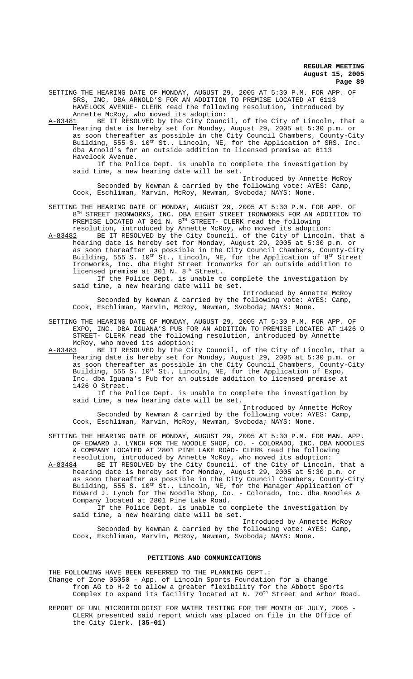SETTING THE HEARING DATE OF MONDAY, AUGUST 29, 2005 AT 5:30 P.M. FOR APP. OF SRS, INC. DBA ARNOLD'S FOR AN ADDITION TO PREMISE LOCATED AT 6113 HAVELOCK AVENUE- CLERK read the following resolution, introduced by Annette McRoy, who moved its adoption:

A-83481 BE IT RESOLVED by the City Council, of the City of Lincoln, that a hearing date is hereby set for Monday, August 29, 2005 at 5:30 p.m. or as soon thereafter as possible in the City Council Chambers, County-City Building, 555 S. 10<sup>th</sup> St., Lincoln, NE, for the Application of SRS, Inc. dba Arnold's for an outside addition to licensed premise at 6113 Havelock Avenue.

If the Police Dept. is unable to complete the investigation by said time, a new hearing date will be set.

Introduced by Annette McRoy Seconded by Newman & carried by the following vote: AYES: Camp, Cook, Eschliman, Marvin, McRoy, Newman, Svoboda; NAYS: None.

SETTING THE HEARING DATE OF MONDAY, AUGUST 29, 2005 AT 5:30 P.M. FOR APP. OF 8TH STREET IRONWORKS, INC. DBA EIGHT STREET IRONWORKS FOR AN ADDITION TO PREMISE LOCATED AT 301 N. 8TH STREET- CLERK read the following resolution, introduced by Annette McRoy, who moved its adoption:

A-83482 BE IT RESOLVED by the City Council, of the City of Lincoln, that a hearing date is hereby set for Monday, August 29, 2005 at 5:30 p.m. or as soon thereafter as possible in the City Council Chambers, County-City Building, 555 S. 10<sup>th</sup> St., Lincoln, NE, for the Application of 8<sup>th</sup> Street Ironworks, Inc. dba Eight Street Ironworks for an outside addition to licensed premise at 301 N. 8<sup>th</sup> Street.

If the Police Dept. is unable to complete the investigation by said time, a new hearing date will be set.

Introduced by Annette McRoy Seconded by Newman & carried by the following vote: AYES: Camp, Cook, Eschliman, Marvin, McRoy, Newman, Svoboda; NAYS: None.

SETTING THE HEARING DATE OF MONDAY, AUGUST 29, 2005 AT 5:30 P.M. FOR APP. OF EXPO, INC. DBA IGUANA'S PUB FOR AN ADDITION TO PREMISE LOCATED AT 1426 O STREET- CLERK read the following resolution, introduced by Annette McRoy, who moved its adoption:

A-83483 BE IT RESOLVED by the City Council, of the City of Lincoln, that a hearing date is hereby set for Monday, August 29, 2005 at 5:30 p.m. or as soon thereafter as possible in the City Council Chambers, County-City Building, 555 S. 10<sup>th</sup> St., Lincoln, NE, for the Application of Expo, Inc. dba Iguana's Pub for an outside addition to licensed premise at 1426 O Street.

If the Police Dept. is unable to complete the investigation by said time, a new hearing date will be set.

Introduced by Annette McRoy Seconded by Newman & carried by the following vote: AYES: Camp, Cook, Eschliman, Marvin, McRoy, Newman, Svoboda; NAYS: None.

SETTING THE HEARING DATE OF MONDAY, AUGUST 29, 2005 AT 5:30 P.M. FOR MAN. APP. OF EDWARD J. LYNCH FOR THE NOODLE SHOP, CO. - COLORADO, INC. DBA NOODLES & COMPANY LOCATED AT 2801 PINE LAKE ROAD- CLERK read the following resolution, introduced by Annette McRoy, who moved its adoption:

A-83484 BE IT RESOLVED by the City Council, of the City of Lincoln, that a hearing date is hereby set for Monday, August 29, 2005 at 5:30 p.m. or as soon thereafter as possible in the City Council Chambers, County-City Building, 555 S. 10<sup>th</sup> St., Lincoln, NE, for the Manager Application of Edward J. Lynch for The Noodle Shop, Co. - Colorado, Inc. dba Noodles & Company located at 2801 Pine Lake Road.

If the Police Dept. is unable to complete the investigation by said time, a new hearing date will be set.

Introduced by Annette McRoy Seconded by Newman & carried by the following vote: AYES: Camp, Cook, Eschliman, Marvin, McRoy, Newman, Svoboda; NAYS: None.

#### **PETITIONS AND COMMUNICATIONS**

THE FOLLOWING HAVE BEEN REFERRED TO THE PLANNING DEPT.: Change of Zone 05050 - App. of Lincoln Sports Foundation for a change from AG to H-2 to allow a greater flexibility for the Abbott Sports Complex to expand its facility located at N. 70<sup>th</sup> Street and Arbor Road.

REPORT OF UNL MICROBIOLOGIST FOR WATER TESTING FOR THE MONTH OF JULY, 2005 -CLERK presented said report which was placed on file in the Office of the City Clerk. **(35-01)**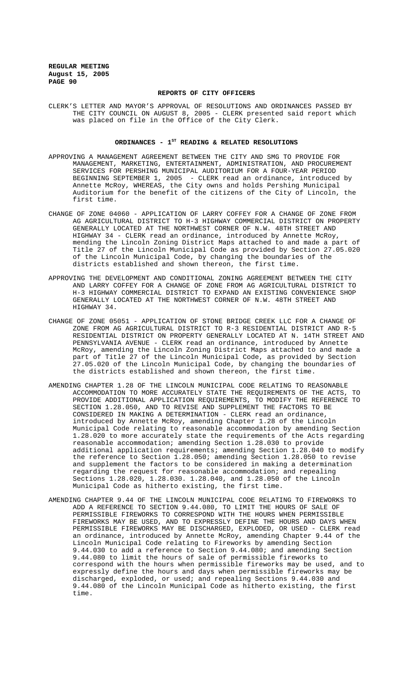#### **REPORTS OF CITY OFFICERS**

CLERK'S LETTER AND MAYOR'S APPROVAL OF RESOLUTIONS AND ORDINANCES PASSED BY THE CITY COUNCIL ON AUGUST 8, 2005 - CLERK presented said report which was placed on file in the Office of the City Clerk.

### ORDINANCES -  $1^{ST}$  READING & RELATED RESOLUTIONS

- APPROVING A MANAGEMENT AGREEMENT BETWEEN THE CITY AND SMG TO PROVIDE FOR MANAGEMENT, MARKETING, ENTERTAINMENT, ADMINISTRATION, AND PROCUREMENT SERVICES FOR PERSHING MUNICIPAL AUDITORIUM FOR A FOUR-YEAR PERIOD BEGINNING SEPTEMBER 1, 2005 - CLERK read an ordinance, introduced by Annette McRoy, WHEREAS, the City owns and holds Pershing Municipal Auditorium for the benefit of the citizens of the City of Lincoln, the first time.
- CHANGE OF ZONE 04060 APPLICATION OF LARRY COFFEY FOR A CHANGE OF ZONE FROM AG AGRICULTURAL DISTRICT TO H-3 HIGHWAY COMMERCIAL DISTRICT ON PROPERTY GENERALLY LOCATED AT THE NORTHWEST CORNER OF N.W. 48TH STREET AND HIGHWAY 34 - CLERK read an ordinance, introduced by Annette McRoy, mending the Lincoln Zoning District Maps attached to and made a part of Title 27 of the Lincoln Municipal Code as provided by Section 27.05.020 of the Lincoln Municipal Code, by changing the boundaries of the districts established and shown thereon, the first time.
- APPROVING THE DEVELOPMENT AND CONDITIONAL ZONING AGREEMENT BETWEEN THE CITY AND LARRY COFFEY FOR A CHANGE OF ZONE FROM AG AGRICULTURAL DISTRICT TO H-3 HIGHWAY COMMERCIAL DISTRICT TO EXPAND AN EXISTING CONVENIENCE SHOP GENERALLY LOCATED AT THE NORTHWEST CORNER OF N.W. 48TH STREET AND HIGHWAY 34.
- CHANGE OF ZONE 05051 APPLICATION OF STONE BRIDGE CREEK LLC FOR A CHANGE OF ZONE FROM AG AGRICULTURAL DISTRICT TO R-3 RESIDENTIAL DISTRICT AND R-5 RESIDENTIAL DISTRICT ON PROPERTY GENERALLY LOCATED AT N. 14TH STREET AND PENNSYLVANIA AVENUE - CLERK read an ordinance, introduced by Annette McRoy, amending the Lincoln Zoning District Maps attached to and made a part of Title 27 of the Lincoln Municipal Code, as provided by Section 27.05.020 of the Lincoln Municipal Code, by changing the boundaries of the districts established and shown thereon, the first time.
- AMENDING CHAPTER 1.28 OF THE LINCOLN MUNICIPAL CODE RELATING TO REASONABLE ACCOMMODATION TO MORE ACCURATELY STATE THE REQUIREMENTS OF THE ACTS, TO PROVIDE ADDITIONAL APPLICATION REQUIREMENTS, TO MODIFY THE REFERENCE TO SECTION 1.28.050, AND TO REVISE AND SUPPLEMENT THE FACTORS TO BE CONSIDERED IN MAKING A DETERMINATION - CLERK read an ordinance, introduced by Annette McRoy, amending Chapter 1.28 of the Lincoln Municipal Code relating to reasonable accommodation by amending Section 1.28.020 to more accurately state the requirements of the Acts regarding reasonable accommodation; amending Section 1.28.030 to provide additional application requirements; amending Section 1.28.040 to modify the reference to Section 1.28.050; amending Section 1.28.050 to revise and supplement the factors to be considered in making a determination regarding the request for reasonable accommodation; and repealing Sections 1.28.020, 1.28.030. 1.28.040, and 1.28.050 of the Lincoln Municipal Code as hitherto existing, the first time.
- AMENDING CHAPTER 9.44 OF THE LINCOLN MUNICIPAL CODE RELATING TO FIREWORKS TO ADD A REFERENCE TO SECTION 9.44.080, TO LIMIT THE HOURS OF SALE OF PERMISSIBLE FIREWORKS TO CORRESPOND WITH THE HOURS WHEN PERMISSIBLE FIREWORKS MAY BE USED, AND TO EXPRESSLY DEFINE THE HOURS AND DAYS WHEN PERMISSIBLE FIREWORKS MAY BE DISCHARGED, EXPLODED, OR USED - CLERK read an ordinance, introduced by Annette McRoy, amending Chapter 9.44 of the Lincoln Municipal Code relating to Fireworks by amending Section 9.44.030 to add a reference to Section 9.44.080; and amending Section 9.44.080 to limit the hours of sale of permissible fireworks to correspond with the hours when permissible fireworks may be used, and to expressly define the hours and days when permissible fireworks may be discharged, exploded, or used; and repealing Sections 9.44.030 and 9.44.080 of the Lincoln Municipal Code as hitherto existing, the first time.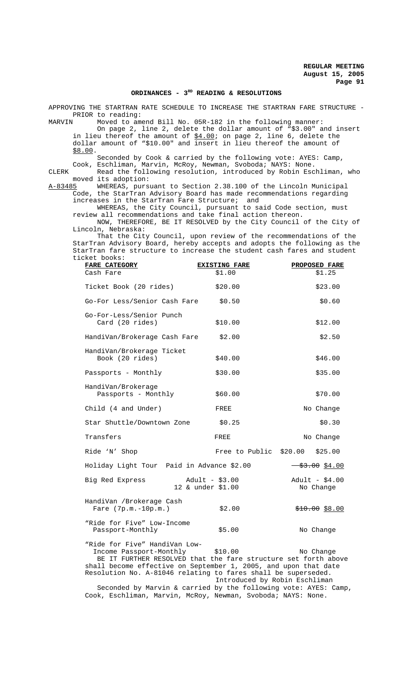# ORDINANCES - 3<sup>RD</sup> READING & RESOLUTIONS

APPROVING THE STARTRAN RATE SCHEDULE TO INCREASE THE STARTRAN FARE STRUCTURE - PRIOR to reading:<br>MARVIN Moved to am

Moved to amend Bill No. 05R-182 in the following manner:

On page 2, line 2, delete the dollar amount of "\$3.00" and insert in lieu thereof the amount of  $$4.00$ ; on page 2, line 6, delete the dollar amount of "\$10.00" and insert in lieu thereof the amount of \$8.00.

Seconded by Cook & carried by the following vote: AYES: Camp, Cook, Eschliman, Marvin, McRoy, Newman, Svoboda; NAYS: None.

CLERK Read the following resolution, introduced by Robin Eschliman, who moved its adoption:<br>A-83485 WHEREAS, purs

A-83485 WHEREAS, pursuant to Section 2.38.100 of the Lincoln Municipal Code, the StarTran Advisory Board has made recommendations regarding increases in the StarTran Fare Structure; and

WHEREAS, the City Council, pursuant to said Code section, must review all recommendations and take final action thereon.

NOW, THEREFORE, BE IT RESOLVED by the City Council of the City of Lincoln, Nebraska:

 That the City Council, upon review of the recommendations of the StarTran Advisory Board, hereby accepts and adopts the following as the StarTran fare structure to increase the student cash fares and student ticket books:

| <b>FARE CATEGORY</b>                                                                                                                                                                                                                                                | <b>EXISTING FARE</b>                     | PROPOSED FARE                                                                                                                                                                                                                                                                                                       |
|---------------------------------------------------------------------------------------------------------------------------------------------------------------------------------------------------------------------------------------------------------------------|------------------------------------------|---------------------------------------------------------------------------------------------------------------------------------------------------------------------------------------------------------------------------------------------------------------------------------------------------------------------|
| Cash Fare                                                                                                                                                                                                                                                           | \$1.00                                   | \$1.25                                                                                                                                                                                                                                                                                                              |
| Ticket Book (20 rides)                                                                                                                                                                                                                                              | \$20.00                                  | \$23.00                                                                                                                                                                                                                                                                                                             |
| Go-For Less/Senior Cash Fare                                                                                                                                                                                                                                        | \$0.50                                   | \$0.60                                                                                                                                                                                                                                                                                                              |
| Go-For-Less/Senior Punch<br>Card (20 rides)                                                                                                                                                                                                                         | \$10.00                                  | \$12.00                                                                                                                                                                                                                                                                                                             |
| HandiVan/Brokerage Cash Fare                                                                                                                                                                                                                                        | \$2.00                                   | \$2.50                                                                                                                                                                                                                                                                                                              |
| HandiVan/Brokerage Ticket<br>Book (20 rides)                                                                                                                                                                                                                        | \$40.00                                  | \$46.00                                                                                                                                                                                                                                                                                                             |
| Passports - Monthly                                                                                                                                                                                                                                                 | \$30.00                                  | \$35.00                                                                                                                                                                                                                                                                                                             |
| HandiVan/Brokerage<br>Passports - Monthly                                                                                                                                                                                                                           | \$60.00                                  | \$70.00                                                                                                                                                                                                                                                                                                             |
| Child (4 and Under)                                                                                                                                                                                                                                                 | FREE                                     | No Change                                                                                                                                                                                                                                                                                                           |
| Star Shuttle/Downtown Zone                                                                                                                                                                                                                                          | \$0.25                                   | \$0.30                                                                                                                                                                                                                                                                                                              |
| Transfers                                                                                                                                                                                                                                                           | FREE                                     | No Change                                                                                                                                                                                                                                                                                                           |
| Ride 'N' Shop                                                                                                                                                                                                                                                       | Free to Public                           | \$20.00<br>\$25.00                                                                                                                                                                                                                                                                                                  |
| Holiday Light Tour Paid in Advance \$2.00                                                                                                                                                                                                                           |                                          | $\frac{1}{2}$ $\frac{1}{2}$ $\frac{1}{2}$ $\frac{1}{2}$ $\frac{1}{2}$ $\frac{1}{2}$ $\frac{1}{2}$ $\frac{1}{2}$ $\frac{1}{2}$ $\frac{1}{2}$ $\frac{1}{2}$ $\frac{1}{2}$ $\frac{1}{2}$ $\frac{1}{2}$ $\frac{1}{2}$ $\frac{1}{2}$ $\frac{1}{2}$ $\frac{1}{2}$ $\frac{1}{2}$ $\frac{1}{2}$ $\frac{1}{2}$ $\frac{1}{2}$ |
| Big Red Express                                                                                                                                                                                                                                                     | Adult - $$3.00$<br>12 & under \$1.00     | Adult - $$4.00$<br>No Change                                                                                                                                                                                                                                                                                        |
| HandiVan /Brokerage Cash<br>Fare $(7p.m.-10p.m.)$                                                                                                                                                                                                                   | \$2.00                                   | $$10.00$ \$8.00                                                                                                                                                                                                                                                                                                     |
| "Ride for Five" Low-Income<br>Passport-Monthly                                                                                                                                                                                                                      | \$5.00                                   | No Change                                                                                                                                                                                                                                                                                                           |
| "Ride for Five" HandiVan Low-<br>Income Passport-Monthly<br>BE IT FURTHER RESOLVED that the fare structure set forth above<br>shall become effective on September 1, 2005, and upon that date<br>Resolution No. A-81046 relating to fares shall be superseded.<br>. | \$10.00<br>Introduced by Robin Eschliman | No Change                                                                                                                                                                                                                                                                                                           |

Seconded by Marvin & carried by the following vote: AYES: Camp, Cook, Eschliman, Marvin, McRoy, Newman, Svoboda; NAYS: None.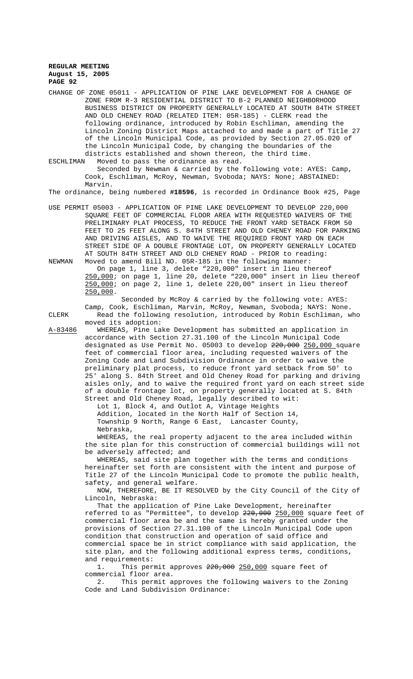CHANGE OF ZONE 05011 - APPLICATION OF PINE LAKE DEVELOPMENT FOR A CHANGE OF ZONE FROM R-3 RESIDENTIAL DISTRICT TO B-2 PLANNED NEIGHBORHOOD BUSINESS DISTRICT ON PROPERTY GENERALLY LOCATED AT SOUTH 84TH STREET AND OLD CHENEY ROAD (RELATED ITEM: 05R-185) - CLERK read the following ordinance, introduced by Robin Eschliman, amending the Lincoln Zoning District Maps attached to and made a part of Title 27 of the Lincoln Municipal Code, as provided by Section 27.05.020 of the Lincoln Municipal Code, by changing the boundaries of the districts established and shown thereon, the third time.

ESCHLIMAN Moved to pass the ordinance as read.

Seconded by Newman & carried by the following vote: AYES: Camp, Cook, Eschliman, McRoy, Newman, Svoboda; NAYS: None; ABSTAINED: Marvin.

The ordinance, being numbered **#18596**, is recorded in Ordinance Book #25, Page

USE PERMIT 05003 - APPLICATION OF PINE LAKE DEVELOPMENT TO DEVELOP 220,000 SQUARE FEET OF COMMERCIAL FLOOR AREA WITH REQUESTED WAIVERS OF THE PRELIMINARY PLAT PROCESS, TO REDUCE THE FRONT YARD SETBACK FROM 50 FEET TO 25 FEET ALONG S. 84TH STREET AND OLD CHENEY ROAD FOR PARKING AND DRIVING AISLES, AND TO WAIVE THE REQUIRED FRONT YARD ON EACH STREET SIDE OF A DOUBLE FRONTAGE LOT, ON PROPERTY GENERALLY LOCATED AT SOUTH 84TH STREET AND OLD CHENEY ROAD - PRIOR to reading:

NEWMAN Moved to amend Bill NO. 05R-185 in the following manner: On page 1, line 3, delete "220,000" insert in lieu thereof 250,000; on page 1, line 20, delete "220,000" insert in lieu thereof 250,000; on page 2, line 1, delete 220,00" insert in lieu thereof 250,000.

Seconded by McRoy & carried by the following vote: AYES: Camp, Cook, Eschliman, Marvin, McRoy, Newman, Svoboda; NAYS: None. CLERK Read the following resolution, introduced by Robin Eschliman, who moved its adoption:

A-83486 WHEREAS, Pine Lake Development has submitted an application in accordance with Section 27.31.100 of the Lincoln Municipal Code designated as Use Permit No. 05003 to develop 220,000 250,000 square feet of commercial floor area, including requested waivers of the Zoning Code and Land Subdivision Ordinance in order to waive the preliminary plat process, to reduce front yard setback from 50' to 25' along S. 84th Street and Old Cheney Road for parking and driving aisles only, and to waive the required front yard on each street side of a double frontage lot, on property generally located at S. 84th Street and Old Cheney Road, legally described to wit:

Lot 1, Block 4, and Outlot A, Vintage Heights Addition, located in the North Half of Section 14,

Township 9 North, Range 6 East, Lancaster County, Nebraska,

WHEREAS, the real property adjacent to the area included within the site plan for this construction of commercial buildings will not be adversely affected; and

WHEREAS, said site plan together with the terms and conditions hereinafter set forth are consistent with the intent and purpose of Title 27 of the Lincoln Municipal Code to promote the public health, safety, and general welfare.

NOW, THEREFORE, BE IT RESOLVED by the City Council of the City of Lincoln, Nebraska:

That the application of Pine Lake Development, hereinafter referred to as "Permittee", to develop  $220,000$  250,000 square feet of commercial floor area be and the same is hereby granted under the provisions of Section 27.31.100 of the Lincoln Municipal Code upon condition that construction and operation of said office and commercial space be in strict compliance with said application, the site plan, and the following additional express terms, conditions, and requirements:

1. This permit approves  $220,000$  250,000 square feet of commercial floor area.

2. This permit approves the following waivers to the Zoning Code and Land Subdivision Ordinance: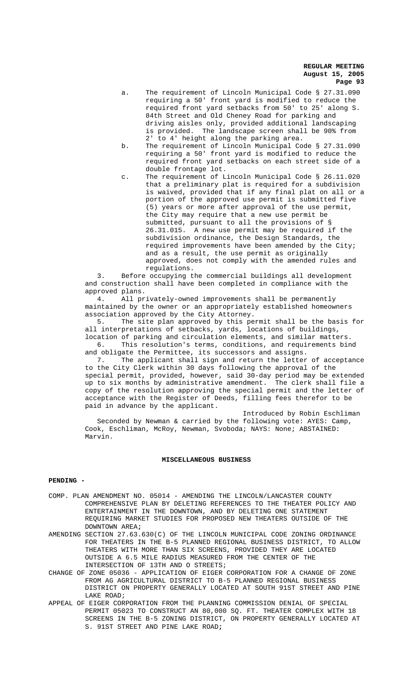- a. The requirement of Lincoln Municipal Code § 27.31.090 requiring a 50' front yard is modified to reduce the required front yard setbacks from 50' to 25' along S. 84th Street and Old Cheney Road for parking and driving aisles only, provided additional landscaping is provided. The landscape screen shall be 90% from 2' to 4' height along the parking area.
- b. The requirement of Lincoln Municipal Code § 27.31.090 requiring a 50' front yard is modified to reduce the required front yard setbacks on each street side of a double frontage lot.
- c. The requirement of Lincoln Municipal Code § 26.11.020 that a preliminary plat is required for a subdivision is waived, provided that if any final plat on all or a portion of the approved use permit is submitted five (5) years or more after approval of the use permit, the City may require that a new use permit be submitted, pursuant to all the provisions of § 26.31.015. A new use permit may be required if the subdivision ordinance, the Design Standards, the required improvements have been amended by the City; and as a result, the use permit as originally approved, does not comply with the amended rules and regulations.

3. Before occupying the commercial buildings all development and construction shall have been completed in compliance with the approved plans.

4. All privately-owned improvements shall be permanently maintained by the owner or an appropriately established homeowners association approved by the City Attorney.

5. The site plan approved by this permit shall be the basis for all interpretations of setbacks, yards, locations of buildings, location of parking and circulation elements, and similar matters. 6. This resolution's terms, conditions, and requirements bind

and obligate the Permittee, its successors and assigns. 7. The applicant shall sign and return the letter of acceptance

to the City Clerk within 30 days following the approval of the special permit, provided, however, said 30-day period may be extended up to six months by administrative amendment. The clerk shall file a copy of the resolution approving the special permit and the letter of acceptance with the Register of Deeds, filling fees therefor to be paid in advance by the applicant.

Introduced by Robin Eschliman Seconded by Newman & carried by the following vote: AYES: Camp, Cook, Eschliman, McRoy, Newman, Svoboda; NAYS: None; ABSTAINED: Marvin.

#### **MISCELLANEOUS BUSINESS**

# **PENDING -**

- COMP. PLAN AMENDMENT NO. 05014 AMENDING THE LINCOLN/LANCASTER COUNTY COMPREHENSIVE PLAN BY DELETING REFERENCES TO THE THEATER POLICY AND ENTERTAINMENT IN THE DOWNTOWN, AND BY DELETING ONE STATEMENT REQUIRING MARKET STUDIES FOR PROPOSED NEW THEATERS OUTSIDE OF THE DOWNTOWN AREA**;**
- AMENDING SECTION 27.63.630(C) OF THE LINCOLN MUNICIPAL CODE ZONING ORDINANCE FOR THEATERS IN THE B-5 PLANNED REGIONAL BUSINESS DISTRICT, TO ALLOW THEATERS WITH MORE THAN SIX SCREENS, PROVIDED THEY ARE LOCATED OUTSIDE A 6.5 MILE RADIUS MEASURED FROM THE CENTER OF THE INTERSECTION OF 13TH AND O STREETS;
- CHANGE OF ZONE 05036 APPLICATION OF EIGER CORPORATION FOR A CHANGE OF ZONE FROM AG AGRICULTURAL DISTRICT TO B-5 PLANNED REGIONAL BUSINESS DISTRICT ON PROPERTY GENERALLY LOCATED AT SOUTH 91ST STREET AND PINE LAKE ROAD;
- APPEAL OF EIGER CORPORATION FROM THE PLANNING COMMISSION DENIAL OF SPECIAL PERMIT 05023 TO CONSTRUCT AN 80,000 SQ. FT. THEATER COMPLEX WITH 18 SCREENS IN THE B-5 ZONING DISTRICT, ON PROPERTY GENERALLY LOCATED AT S. 91ST STREET AND PINE LAKE ROAD**;**